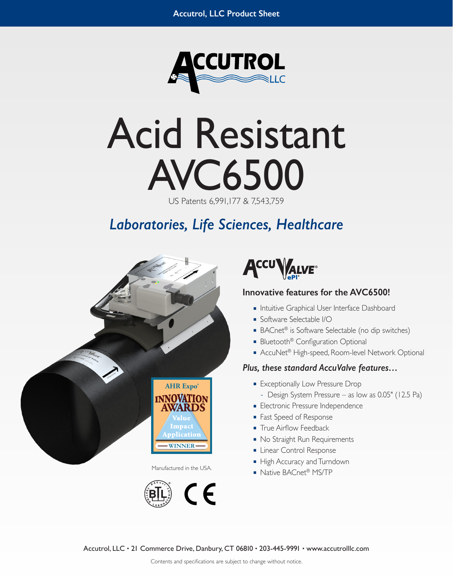

# Acid Resistant AVC6500

US Patents 6,991,177 & 7,543,759

# *Laboratories, Life Sciences, Healthcare*







## **Innovative features for the AVC6500!**

- Intuitive Graphical User Interface Dashboard
- Software Selectable I/O
- BACnet<sup>®</sup> is Software Selectable (no dip switches)
- Bluetooth<sup>®</sup> Configuration Optional
- AccuNet<sup>®</sup> High-speed, Room-level Network Optional

#### *Plus, these standard AccuValve features…*

- Exceptionally Low Pressure Drop
	- **–** Design System Pressure as low as 0.05" (12.5 Pa)
- Electronic Pressure Independence
- Fast Speed of Response
- True Airflow Feedback
- No Straight Run Requirements
- Linear Control Response
- High Accuracy and Turndown
- Manufactured in the USA.<br>
Native BACnet<sup>®</sup> MS/TP

Accutrol, LLC • 21 Commerce Drive, Danbury, CT 06810 • 203-445-9991 • www.accutrolllc.com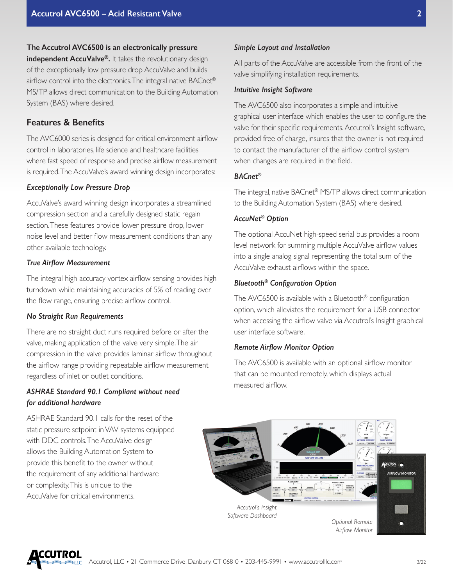# **The Accutrol AVC6500 is an electronically pressure independent AccuValve®.** It takes the revolutionary design of the exceptionally low pressure drop AccuValve and builds airflow control into the electronics. The integral native BACnet® MS/TP allows direct communication to the Building Automation System (BAS) where desired.

# **Features & Benefits**

The AVC6000 series is designed for critical environment airflow control in laboratories, life science and healthcare facilities where fast speed of response and precise airflow measurement is required. The AccuValve's award winning design incorporates:

#### *Exceptionally Low Pressure Drop*

AccuValve's award winning design incorporates a streamlined compression section and a carefully designed static regain section. These features provide lower pressure drop, lower noise level and better flow measurement conditions than any other available technology.

#### *True Airflow Measurement*

The integral high accuracy vortex airflow sensing provides high turndown while maintaining accuracies of 5% of reading over the flow range, ensuring precise airflow control.

#### *No Straight Run Requirements*

There are no straight duct runs required before or after the valve, making application of the valve very simple. The air compression in the valve provides laminar airflow throughout the airflow range providing repeatable airflow measurement regardless of inlet or outlet conditions.

#### *ASHRAE Standard 90.1 Compliant without need for additional hardware*

ASHRAE Standard 90.1 calls for the reset of the static pressure setpoint in VAV systems equipped with DDC controls. The AccuValve design allows the Building Automation System to provide this benefit to the owner without the requirement of any additional hardware or complexity. This is unique to the AccuValve for critical environments.

#### *Simple Layout and Installation*

All parts of the AccuValve are accessible from the front of the valve simplifying installation requirements.

#### *Intuitive Insight Software*

The AVC6500 also incorporates a simple and intuitive graphical user interface which enables the user to configure the valve for their specific requirements. Accutrol's Insight software, provided free of charge, insures that the owner is not required to contact the manufacturer of the airflow control system when changes are required in the field.

#### *BACnet®*

The integral, native BACnet® MS/TP allows direct communication to the Building Automation System (BAS) where desired.

#### *AccuNet® Option*

The optional AccuNet high-speed serial bus provides a room level network for summing multiple AccuValve airflow values into a single analog signal representing the total sum of the AccuValve exhaust airflows within the space.

#### *Bluetooth® Configuration Option*

The AVC6500 is available with a Bluetooth® configuration option, which alleviates the requirement for a USB connector when accessing the airflow valve via Accutrol's Insight graphical user interface software.

#### *Remote Airflow Monitor Option*

The AVC6500 is available with an optional airflow monitor that can be mounted remotely, which displays actual measured airflow.

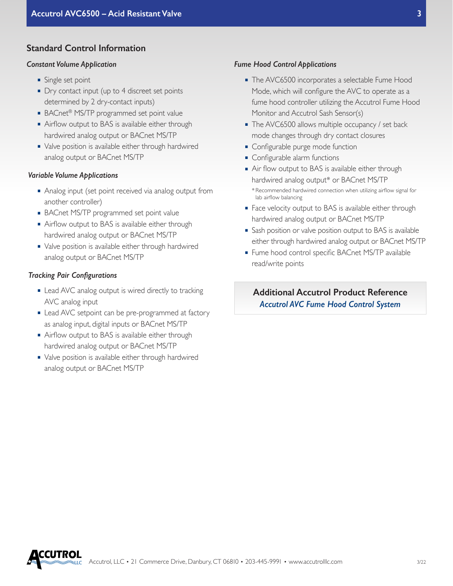#### **Standard Control Information**

#### *Constant Volume Application*

- Single set point
- Dry contact input (up to 4 discreet set points determined by 2 dry-contact inputs)
- BACnet<sup>®</sup> MS/TP programmed set point value
- Airflow output to BAS is available either through hardwired analog output or BACnet MS/TP
- Valve position is available either through hardwired analog output or BACnet MS/TP

#### *Variable Volume Applications*

- Analog input (set point received via analog output from another controller)
- BACnet MS/TP programmed set point value
- Airflow output to BAS is available either through hardwired analog output or BACnet MS/TP
- Valve position is available either through hardwired analog output or BACnet MS/TP

#### *Tracking Pair Configurations*

- Lead AVC analog output is wired directly to tracking AVC analog input
- Lead AVC setpoint can be pre-programmed at factory as analog input, digital inputs or BACnet MS/TP
- Airflow output to BAS is available either through hardwired analog output or BACnet MS/TP
- Valve position is available either through hardwired analog output or BACnet MS/TP

#### *Fume Hood Control Applications*

- The AVC6500 incorporates a selectable Fume Hood Mode, which will configure the AVC to operate as a fume hood controller utilizing the Accutrol Fume Hood Monitor and Accutrol Sash Sensor(s)
- The AVC6500 allows multiple occupancy / set back mode changes through dry contact closures
- Configurable purge mode function
- Configurable alarm functions
- Air flow output to BAS is available either through hardwired analog output\* or BACnet MS/TP \* Recommended hardwired connection when utilizing airflow signal for lab airflow balancing
- Face velocity output to BAS is available either through hardwired analog output or BACnet MS/TP
- Sash position or valve position output to BAS is available either through hardwired analog output or BACnet MS/TP
- Fume hood control specific BACnet MS/TP available read/write points

**Additional Accutrol Product Reference** *Accutrol AVC Fume Hood Control System*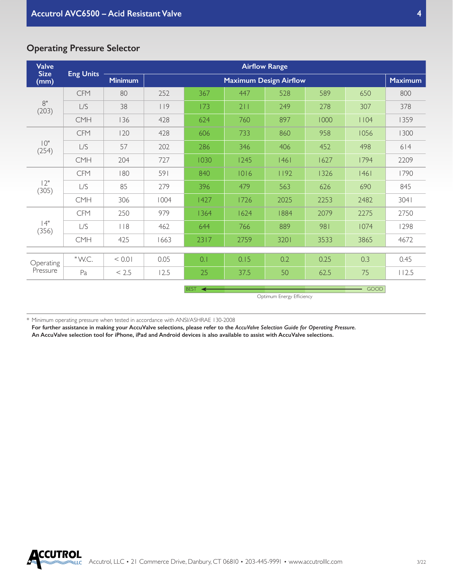| <b>Operating Pressure Selector</b> |  |  |
|------------------------------------|--|--|
|------------------------------------|--|--|

| <b>Valve</b>          | <b>Eng Units</b>                                        | <b>Airflow Range</b> |      |      |                               |      |      |      |                |
|-----------------------|---------------------------------------------------------|----------------------|------|------|-------------------------------|------|------|------|----------------|
| <b>Size</b><br>(mm)   |                                                         | <b>Minimum</b>       |      |      | <b>Maximum Design Airflow</b> |      |      |      | <b>Maximum</b> |
| 8"<br>(203)           | <b>CFM</b>                                              | 80                   | 252  | 367  | 447                           | 528  | 589  | 650  | 800            |
|                       | L/S                                                     | 38                   | 119  | 173  | 211                           | 249  | 278  | 307  | 378            |
|                       | <b>CMH</b>                                              | 136                  | 428  | 624  | 760                           | 897  | 1000 | 1104 | 1359           |
| 10"<br>(254)          | <b>CFM</b>                                              | 120                  | 428  | 606  | 733                           | 860  | 958  | 1056 | 1300           |
|                       | L/S                                                     | 57                   | 202  | 286  | 346                           | 406  | 452  | 498  | 614            |
|                       | <b>CMH</b>                                              | 204                  | 727  | 1030 | 1245                          | 1461 | 1627 | 1794 | 2209           |
| 12"<br>(305)          | <b>CFM</b>                                              | 180                  | 591  | 840  | 1016                          | 1192 | 1326 | 46   | 1790           |
|                       | L/S                                                     | 85                   | 279  | 396  | 479                           | 563  | 626  | 690  | 845            |
|                       | <b>CMH</b>                                              | 306                  | 1004 | 1427 | 1726                          | 2025 | 2253 | 2482 | 3041           |
| 4"<br>(356)           | <b>CFM</b>                                              | 250                  | 979  | 1364 | 1624                          | 1884 | 2079 | 2275 | 2750           |
|                       | L/S                                                     | 118                  | 462  | 644  | 766                           | 889  | 981  | 1074 | 1298           |
|                       | <b>CMH</b>                                              | 425                  | 1663 | 2317 | 2759                          | 3201 | 3533 | 3865 | 4672           |
| Operating<br>Pressure | "W.C.                                                   | < 0.01               | 0.05 | 0.1  | 0.15                          | 0.2  | 0.25 | 0.3  | 0.45           |
|                       | Pa                                                      | < 2.5                | 12.5 | 25   | 37.5                          | 50   | 62.5 | 75   | 112.5          |
|                       |                                                         |                      |      |      |                               |      |      |      |                |
|                       | <b>GOOD</b><br><b>BEST</b><br>Optimum Energy Efficiency |                      |      |      |                               |      |      |      |                |

\* Minimum operating pressure when tested in accordance with ANSI/ASHRAE 130-2008

**For further assistance in making your AccuValve selections, please refer to the** *AccuValve Selection Guide for Operating Pressure.*

**An AccuValve selection tool for iPhone, iPad and Android devices is also available to assist with AccuValve selections.**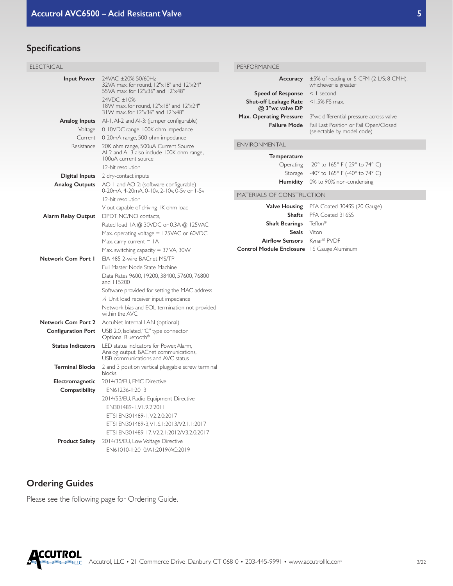# **Specifications**

| ELECTRICAL                |                                                                                                                       | PERFORMANCE                                     |                                                                                       |  |  |  |
|---------------------------|-----------------------------------------------------------------------------------------------------------------------|-------------------------------------------------|---------------------------------------------------------------------------------------|--|--|--|
| <b>Input Power</b>        | 24VAC ±20% 50/60Hz<br>32VA max. for round, 12"x18" and 12"x24"<br>55VA max. for 12"x36" and 12"x48"                   | Accuracy                                        | $\pm 5\%$ of reading or 5 CFM (2 L/S; 8 CMH),<br>whichever is greater<br>$<$   second |  |  |  |
|                           | 24VDC ±10%                                                                                                            | <b>Speed of Response</b>                        |                                                                                       |  |  |  |
|                           | 18W max. for round, 12"x18" and 12"x24"<br>31W max. for 12"x36" and 12"x48"                                           | <b>Shut-off Leakage Rate</b><br>@ 3"wc valve DP | $<$ 1.5% FS max.                                                                      |  |  |  |
| <b>Analog Inputs</b>      | Al-1, Al-2 and Al-3: (jumper configurable)                                                                            | Max. Operating Pressure                         | 3"we differential pressure across valve                                               |  |  |  |
| Voltage                   | 0-10VDC range, 100K ohm impedance                                                                                     | <b>Failure Mode</b>                             | Fail Last Position or Fail Open/Closed<br>(selectable by model code)                  |  |  |  |
|                           | Current 0-20mA range, 500 ohm impedance                                                                               |                                                 |                                                                                       |  |  |  |
| Resistance                | 20K ohm range, 500uA Current Source<br>Al-2 and Al-3 also include 100K ohm range,                                     | ENVIRONMENTAL                                   |                                                                                       |  |  |  |
|                           | 100uA current source                                                                                                  | <b>Temperature</b>                              |                                                                                       |  |  |  |
|                           | 12-bit resolution                                                                                                     | Operating                                       | -20° to 165° F (-29° to 74° C)                                                        |  |  |  |
| Digital Inputs            | 2 dry-contact inputs                                                                                                  | Storage                                         | -40° to 165° F (-40° to 74° C)                                                        |  |  |  |
| <b>Analog Outputs</b>     | AO-1 and AO-2: (software configurable)<br>0-20mA, 4-20mA, 0-10v, 2-10v, 0-5v or 1-5v                                  |                                                 | Humidity 0% to 90% non-condensing                                                     |  |  |  |
|                           | 12-bit resolution                                                                                                     | MATERIALS OF CONSTRUCTION                       |                                                                                       |  |  |  |
|                           | V-out capable of driving IK ohm load                                                                                  |                                                 | <b>Valve Housing</b> PFA Coated 304SS (20 Gauge)                                      |  |  |  |
| Alarm Relay Output        | DPDT, NC/NO contacts,                                                                                                 | <b>Shafts</b>                                   | PFA Coated 316SS                                                                      |  |  |  |
|                           | Rated load IA @ 30VDC or 0.3A @ I25VAC                                                                                | <b>Shaft Bearings</b>                           | Teflon®                                                                               |  |  |  |
|                           | Max. operating voltage $= 125$ VAC or 60VDC                                                                           | Seals                                           | Viton                                                                                 |  |  |  |
|                           | Max. carry current $=$ IA                                                                                             | Airflow Sensors Kynar <sup>®</sup> PVDF         |                                                                                       |  |  |  |
|                           | Max. switching capacity = 37 VA, 30 W                                                                                 | Control Module Enclosure 16 Gauge Aluminum      |                                                                                       |  |  |  |
| <b>Network Com Port 1</b> | EIA 485 2-wire BACnet MS/TP                                                                                           |                                                 |                                                                                       |  |  |  |
|                           | Full Master Node State Machine                                                                                        |                                                 |                                                                                       |  |  |  |
|                           | Data Rates 9600, 19200, 38400, 57600, 76800<br>and 115200                                                             |                                                 |                                                                                       |  |  |  |
|                           | Software provided for setting the MAC address                                                                         |                                                 |                                                                                       |  |  |  |
|                           | 1/4 Unit load receiver input impedance                                                                                |                                                 |                                                                                       |  |  |  |
|                           | Network bias and EOL termination not provided<br>within the AVC                                                       |                                                 |                                                                                       |  |  |  |
| <b>Network Com Port 2</b> | AccuNet Internal LAN (optional)                                                                                       |                                                 |                                                                                       |  |  |  |
| <b>Configuration Port</b> | USB 2.0, Isolated, "C" type connector<br>Optional Bluetooth <sup>®</sup>                                              |                                                 |                                                                                       |  |  |  |
| <b>Status Indicators</b>  | LED status indicators for Power, Alarm,<br>Analog output, BACnet communications,<br>USB communications and AVC status |                                                 |                                                                                       |  |  |  |
| <b>Terminal Blocks</b>    | 2 and 3 position vertical pluggable screw terminal<br>blocks                                                          |                                                 |                                                                                       |  |  |  |
| Electromagnetic           | 2014/30/EU, EMC Directive                                                                                             |                                                 |                                                                                       |  |  |  |
| Compatibility             | EN61236-1:2013                                                                                                        |                                                 |                                                                                       |  |  |  |
|                           | 2014/53/EU, Radio Equipment Directive                                                                                 |                                                 |                                                                                       |  |  |  |
|                           | EN301489-1, V1.9.2:2011                                                                                               |                                                 |                                                                                       |  |  |  |
|                           | ETSI EN301489-1, V2.2.0:2017                                                                                          |                                                 |                                                                                       |  |  |  |
|                           | ETSI EN301489-3, V1.6.1:2013/V2.1.1:2017                                                                              |                                                 |                                                                                       |  |  |  |
|                           | ETSI EN301489-17, V2.2.1:2012/V3.2.0:2017                                                                             |                                                 |                                                                                       |  |  |  |
|                           | Product Safety 2014/35/EU, Low Voltage Directive                                                                      |                                                 |                                                                                       |  |  |  |
|                           | EN61010-1:2010/A1:2019/AC:2019                                                                                        |                                                 |                                                                                       |  |  |  |

# **Ordering Guides**

Please see the following page for Ordering Guide.